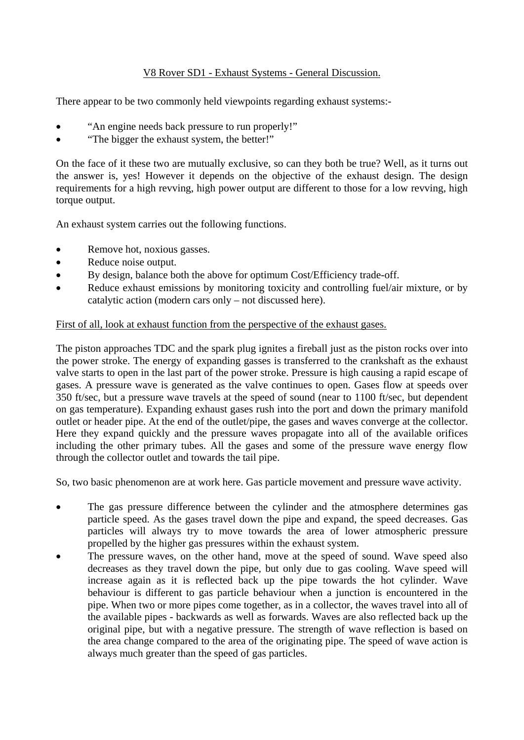# V8 Rover SD1 - Exhaust Systems - General Discussion.

There appear to be two commonly held viewpoints regarding exhaust systems:-

- "An engine needs back pressure to run properly!"
- "The bigger the exhaust system, the better!"

On the face of it these two are mutually exclusive, so can they both be true? Well, as it turns out the answer is, yes! However it depends on the objective of the exhaust design. The design requirements for a high revving, high power output are different to those for a low revving, high torque output.

An exhaust system carries out the following functions.

- Remove hot, noxious gasses.
- Reduce noise output.
- By design, balance both the above for optimum Cost/Efficiency trade-off.
- Reduce exhaust emissions by monitoring toxicity and controlling fuel/air mixture, or by catalytic action (modern cars only – not discussed here).

### First of all, look at exhaust function from the perspective of the exhaust gases.

The piston approaches TDC and the spark plug ignites a fireball just as the piston rocks over into the power stroke. The energy of expanding gasses is transferred to the crankshaft as the exhaust valve starts to open in the last part of the power stroke. Pressure is high causing a rapid escape of gases. A pressure wave is generated as the valve continues to open. Gases flow at speeds over 350 ft/sec, but a pressure wave travels at the speed of sound (near to 1100 ft/sec, but dependent on gas temperature). Expanding exhaust gases rush into the port and down the primary manifold outlet or header pipe. At the end of the outlet/pipe, the gases and waves converge at the collector. Here they expand quickly and the pressure waves propagate into all of the available orifices including the other primary tubes. All the gases and some of the pressure wave energy flow through the collector outlet and towards the tail pipe.

So, two basic phenomenon are at work here. Gas particle movement and pressure wave activity.

- The gas pressure difference between the cylinder and the atmosphere determines gas particle speed. As the gases travel down the pipe and expand, the speed decreases. Gas particles will always try to move towards the area of lower atmospheric pressure propelled by the higher gas pressures within the exhaust system.
- The pressure waves, on the other hand, move at the speed of sound. Wave speed also decreases as they travel down the pipe, but only due to gas cooling. Wave speed will increase again as it is reflected back up the pipe towards the hot cylinder. Wave behaviour is different to gas particle behaviour when a junction is encountered in the pipe. When two or more pipes come together, as in a collector, the waves travel into all of the available pipes - backwards as well as forwards. Waves are also reflected back up the original pipe, but with a negative pressure. The strength of wave reflection is based on the area change compared to the area of the originating pipe. The speed of wave action is always much greater than the speed of gas particles.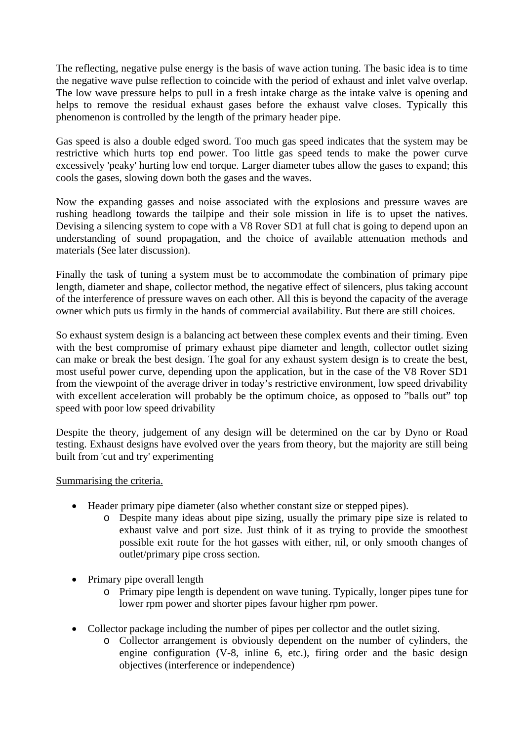The reflecting, negative pulse energy is the basis of wave action tuning. The basic idea is to time the negative wave pulse reflection to coincide with the period of exhaust and inlet valve overlap. The low wave pressure helps to pull in a fresh intake charge as the intake valve is opening and helps to remove the residual exhaust gases before the exhaust valve closes. Typically this phenomenon is controlled by the length of the primary header pipe.

Gas speed is also a double edged sword. Too much gas speed indicates that the system may be restrictive which hurts top end power. Too little gas speed tends to make the power curve excessively 'peaky' hurting low end torque. Larger diameter tubes allow the gases to expand; this cools the gases, slowing down both the gases and the waves.

Now the expanding gasses and noise associated with the explosions and pressure waves are rushing headlong towards the tailpipe and their sole mission in life is to upset the natives. Devising a silencing system to cope with a V8 Rover SD1 at full chat is going to depend upon an understanding of sound propagation, and the choice of available attenuation methods and materials (See later discussion).

Finally the task of tuning a system must be to accommodate the combination of primary pipe length, diameter and shape, collector method, the negative effect of silencers, plus taking account of the interference of pressure waves on each other. All this is beyond the capacity of the average owner which puts us firmly in the hands of commercial availability. But there are still choices.

So exhaust system design is a balancing act between these complex events and their timing. Even with the best compromise of primary exhaust pipe diameter and length, collector outlet sizing can make or break the best design. The goal for any exhaust system design is to create the best, most useful power curve, depending upon the application, but in the case of the V8 Rover SD1 from the viewpoint of the average driver in today's restrictive environment, low speed drivability with excellent acceleration will probably be the optimum choice, as opposed to "balls out" top speed with poor low speed drivability

Despite the theory, judgement of any design will be determined on the car by Dyno or Road testing. Exhaust designs have evolved over the years from theory, but the majority are still being built from 'cut and try' experimenting

# Summarising the criteria.

- Header primary pipe diameter (also whether constant size or stepped pipes).
	- o Despite many ideas about pipe sizing, usually the primary pipe size is related to exhaust valve and port size. Just think of it as trying to provide the smoothest possible exit route for the hot gasses with either, nil, or only smooth changes of outlet/primary pipe cross section.
- Primary pipe overall length
	- o Primary pipe length is dependent on wave tuning. Typically, longer pipes tune for lower rpm power and shorter pipes favour higher rpm power.
- Collector package including the number of pipes per collector and the outlet sizing.
	- o Collector arrangement is obviously dependent on the number of cylinders, the engine configuration (V-8, inline 6, etc.), firing order and the basic design objectives (interference or independence)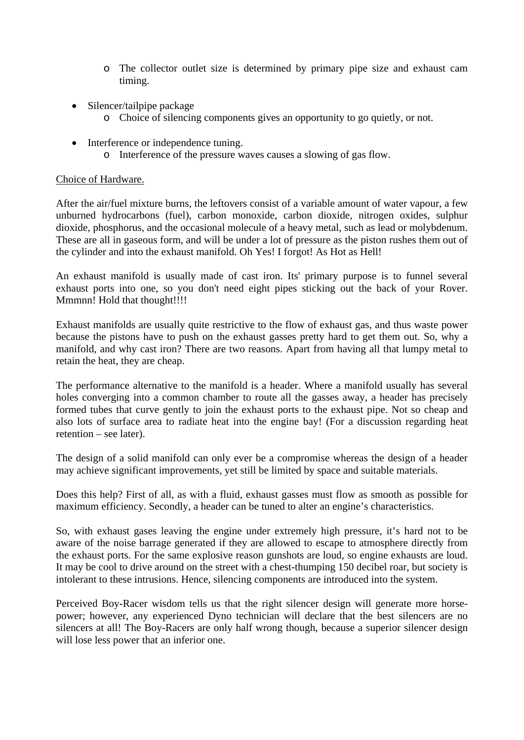- o The collector outlet size is determined by primary pipe size and exhaust cam timing.
- Silencer/tailpipe package
	- o Choice of silencing components gives an opportunity to go quietly, or not.
- Interference or independence tuning.
	- o Interference of the pressure waves causes a slowing of gas flow.

### Choice of Hardware.

After the air/fuel mixture burns, the leftovers consist of a variable amount of water vapour, a few unburned hydrocarbons (fuel), carbon monoxide, carbon dioxide, nitrogen oxides, sulphur dioxide, phosphorus, and the occasional molecule of a heavy metal, such as lead or molybdenum. These are all in gaseous form, and will be under a lot of pressure as the piston rushes them out of the cylinder and into the exhaust manifold. Oh Yes! I forgot! As Hot as Hell!

An exhaust manifold is usually made of cast iron. Its' primary purpose is to funnel several exhaust ports into one, so you don't need eight pipes sticking out the back of your Rover. Mmmnn! Hold that thought!!!!

Exhaust manifolds are usually quite restrictive to the flow of exhaust gas, and thus waste power because the pistons have to push on the exhaust gasses pretty hard to get them out. So, why a manifold, and why cast iron? There are two reasons. Apart from having all that lumpy metal to retain the heat, they are cheap.

The performance alternative to the manifold is a header. Where a manifold usually has several holes converging into a common chamber to route all the gasses away, a header has precisely formed tubes that curve gently to join the exhaust ports to the exhaust pipe. Not so cheap and also lots of surface area to radiate heat into the engine bay! (For a discussion regarding heat retention – see later).

The design of a solid manifold can only ever be a compromise whereas the design of a header may achieve significant improvements, yet still be limited by space and suitable materials.

Does this help? First of all, as with a fluid, exhaust gasses must flow as smooth as possible for maximum efficiency. Secondly, a header can be tuned to alter an engine's characteristics.

So, with exhaust gases leaving the engine under extremely high pressure, it's hard not to be aware of the noise barrage generated if they are allowed to escape to atmosphere directly from the exhaust ports. For the same explosive reason gunshots are loud, so engine exhausts are loud. It may be cool to drive around on the street with a chest-thumping 150 decibel roar, but society is intolerant to these intrusions. Hence, silencing components are introduced into the system.

Perceived Boy-Racer wisdom tells us that the right silencer design will generate more horsepower; however, any experienced Dyno technician will declare that the best silencers are no silencers at all! The Boy-Racers are only half wrong though, because a superior silencer design will lose less power that an inferior one.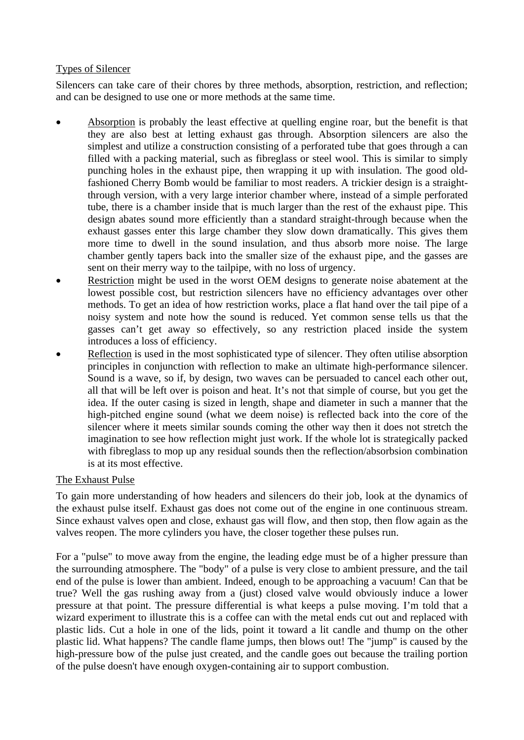## Types of Silencer

Silencers can take care of their chores by three methods, absorption, restriction, and reflection; and can be designed to use one or more methods at the same time.

- Absorption is probably the least effective at quelling engine roar, but the benefit is that they are also best at letting exhaust gas through. Absorption silencers are also the simplest and utilize a construction consisting of a perforated tube that goes through a can filled with a packing material, such as fibreglass or steel wool. This is similar to simply punching holes in the exhaust pipe, then wrapping it up with insulation. The good oldfashioned Cherry Bomb would be familiar to most readers. A trickier design is a straightthrough version, with a very large interior chamber where, instead of a simple perforated tube, there is a chamber inside that is much larger than the rest of the exhaust pipe. This design abates sound more efficiently than a standard straight-through because when the exhaust gasses enter this large chamber they slow down dramatically. This gives them more time to dwell in the sound insulation, and thus absorb more noise. The large chamber gently tapers back into the smaller size of the exhaust pipe, and the gasses are sent on their merry way to the tailpipe, with no loss of urgency.
- Restriction might be used in the worst OEM designs to generate noise abatement at the lowest possible cost, but restriction silencers have no efficiency advantages over other methods. To get an idea of how restriction works, place a flat hand over the tail pipe of a noisy system and note how the sound is reduced. Yet common sense tells us that the gasses can't get away so effectively, so any restriction placed inside the system introduces a loss of efficiency.
- Reflection is used in the most sophisticated type of silencer. They often utilise absorption principles in conjunction with reflection to make an ultimate high-performance silencer. Sound is a wave, so if, by design, two waves can be persuaded to cancel each other out, all that will be left over is poison and heat. It's not that simple of course, but you get the idea. If the outer casing is sized in length, shape and diameter in such a manner that the high-pitched engine sound (what we deem noise) is reflected back into the core of the silencer where it meets similar sounds coming the other way then it does not stretch the imagination to see how reflection might just work. If the whole lot is strategically packed with fibreglass to mop up any residual sounds then the reflection/absorbsion combination is at its most effective.

# The Exhaust Pulse

To gain more understanding of how headers and silencers do their job, look at the dynamics of the exhaust pulse itself. Exhaust gas does not come out of the engine in one continuous stream. Since exhaust valves open and close, exhaust gas will flow, and then stop, then flow again as the valves reopen. The more cylinders you have, the closer together these pulses run.

For a "pulse" to move away from the engine, the leading edge must be of a higher pressure than the surrounding atmosphere. The "body" of a pulse is very close to ambient pressure, and the tail end of the pulse is lower than ambient. Indeed, enough to be approaching a vacuum! Can that be true? Well the gas rushing away from a (just) closed valve would obviously induce a lower pressure at that point. The pressure differential is what keeps a pulse moving. I'm told that a wizard experiment to illustrate this is a coffee can with the metal ends cut out and replaced with plastic lids. Cut a hole in one of the lids, point it toward a lit candle and thump on the other plastic lid. What happens? The candle flame jumps, then blows out! The "jump" is caused by the high-pressure bow of the pulse just created, and the candle goes out because the trailing portion of the pulse doesn't have enough oxygen-containing air to support combustion.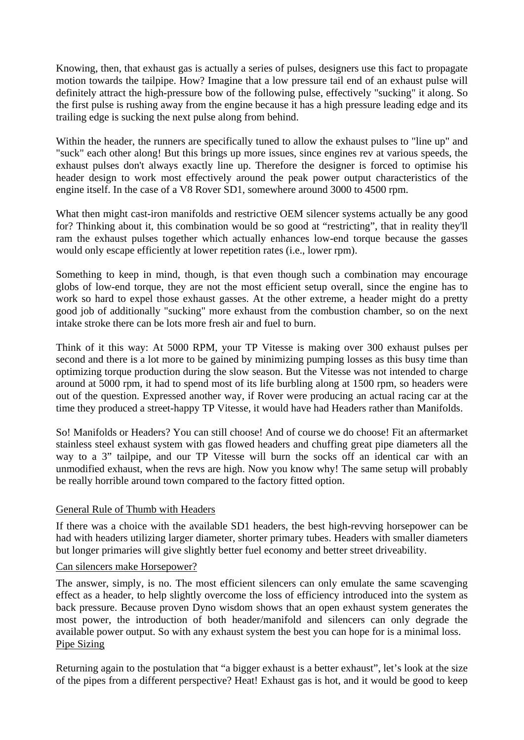Knowing, then, that exhaust gas is actually a series of pulses, designers use this fact to propagate motion towards the tailpipe. How? Imagine that a low pressure tail end of an exhaust pulse will definitely attract the high-pressure bow of the following pulse, effectively "sucking" it along. So the first pulse is rushing away from the engine because it has a high pressure leading edge and its trailing edge is sucking the next pulse along from behind.

Within the header, the runners are specifically tuned to allow the exhaust pulses to "line up" and "suck" each other along! But this brings up more issues, since engines rev at various speeds, the exhaust pulses don't always exactly line up. Therefore the designer is forced to optimise his header design to work most effectively around the peak power output characteristics of the engine itself. In the case of a V8 Rover SD1, somewhere around 3000 to 4500 rpm.

What then might cast-iron manifolds and restrictive OEM silencer systems actually be any good for? Thinking about it, this combination would be so good at "restricting", that in reality they'll ram the exhaust pulses together which actually enhances low-end torque because the gasses would only escape efficiently at lower repetition rates (i.e., lower rpm).

Something to keep in mind, though, is that even though such a combination may encourage globs of low-end torque, they are not the most efficient setup overall, since the engine has to work so hard to expel those exhaust gasses. At the other extreme, a header might do a pretty good job of additionally "sucking" more exhaust from the combustion chamber, so on the next intake stroke there can be lots more fresh air and fuel to burn.

Think of it this way: At 5000 RPM, your TP Vitesse is making over 300 exhaust pulses per second and there is a lot more to be gained by minimizing pumping losses as this busy time than optimizing torque production during the slow season. But the Vitesse was not intended to charge around at 5000 rpm, it had to spend most of its life burbling along at 1500 rpm, so headers were out of the question. Expressed another way, if Rover were producing an actual racing car at the time they produced a street-happy TP Vitesse, it would have had Headers rather than Manifolds.

So! Manifolds or Headers? You can still choose! And of course we do choose! Fit an aftermarket stainless steel exhaust system with gas flowed headers and chuffing great pipe diameters all the way to a 3" tailpipe, and our TP Vitesse will burn the socks off an identical car with an unmodified exhaust, when the revs are high. Now you know why! The same setup will probably be really horrible around town compared to the factory fitted option.

# General Rule of Thumb with Headers

If there was a choice with the available SD1 headers, the best high-revving horsepower can be had with headers utilizing larger diameter, shorter primary tubes. Headers with smaller diameters but longer primaries will give slightly better fuel economy and better street driveability.

### Can silencers make Horsepower?

The answer, simply, is no. The most efficient silencers can only emulate the same scavenging effect as a header, to help slightly overcome the loss of efficiency introduced into the system as back pressure. Because proven Dyno wisdom shows that an open exhaust system generates the most power, the introduction of both header/manifold and silencers can only degrade the available power output. So with any exhaust system the best you can hope for is a minimal loss. Pipe Sizing

Returning again to the postulation that "a bigger exhaust is a better exhaust", let's look at the size of the pipes from a different perspective? Heat! Exhaust gas is hot, and it would be good to keep